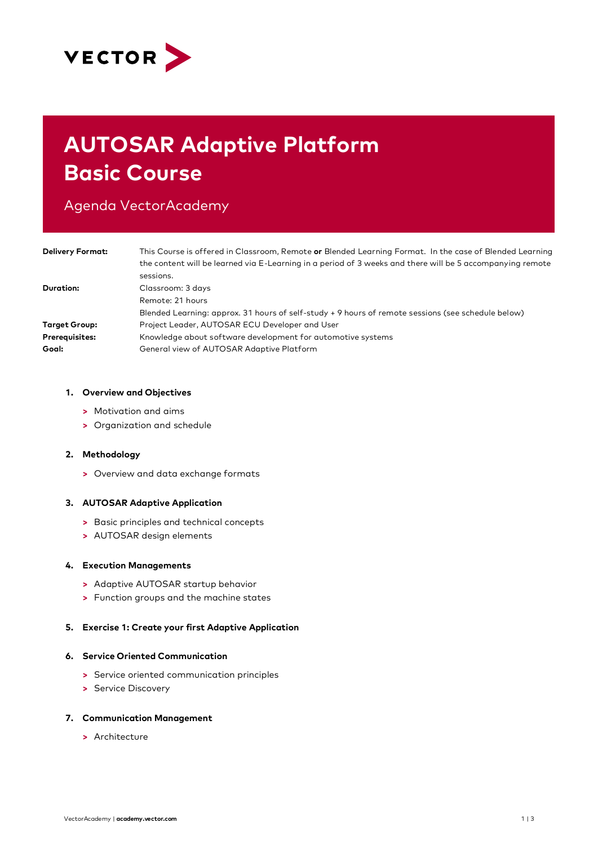

# **AUTOSAR Adaptive Platform Basic Course**

# Agenda VectorAcademy

| <b>Delivery Format:</b> | This Course is offered in Classroom, Remote or Blended Learning Format. In the case of Blended Learning<br>the content will be learned via E-Learning in a period of 3 weeks and there will be 5 accompanying remote<br>sessions. |
|-------------------------|-----------------------------------------------------------------------------------------------------------------------------------------------------------------------------------------------------------------------------------|
| Duration:               | Classroom: 3 days<br>Remote: 21 hours<br>Blended Learning: approx. 31 hours of self-study + 9 hours of remote sessions (see schedule below)                                                                                       |
| <b>Target Group:</b>    | Project Leader, AUTOSAR ECU Developer and User                                                                                                                                                                                    |
| <b>Prerequisites:</b>   | Knowledge about software development for automotive systems                                                                                                                                                                       |
| Goal:                   | General view of AUTOSAR Adaptive Platform                                                                                                                                                                                         |

#### **1. Overview and Objectives**

- **>** Motivation and aims
- **>** Organization and schedule

## **2. Methodology**

**>** Overview and data exchange formats

## **3. AUTOSAR Adaptive Application**

- **>** Basic principles and technical concepts
- **>** AUTOSAR design elements

#### **4. Execution Managements**

- **>** Adaptive AUTOSAR startup behavior
- **>** Function groups and the machine states

## **5. Exercise 1: Create your first Adaptive Application**

#### **6. Service Oriented Communication**

- **>** Service oriented communication principles
- **>** Service Discovery

#### **7. Communication Management**

**>** Architecture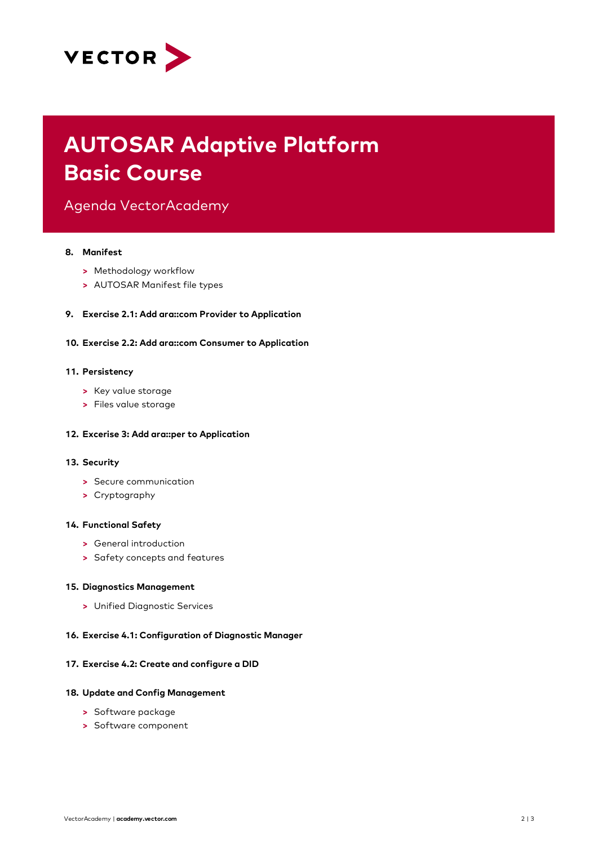

# **AUTOSAR Adaptive Platform Basic Course**

Agenda VectorAcademy

# **8. Manifest**

- **>** Methodology workflow
- **>** AUTOSAR Manifest file types
- **9. Exercise 2.1: Add ara::com Provider to Application**
- **10. Exercise 2.2: Add ara::com Consumer to Application**

#### **11. Persistency**

- **>** Key value storage
- **>** Files value storage

#### **12. Excerise 3: Add ara::per to Application**

#### **13. Security**

- **>** Secure communication
- **>** Cryptography

#### **14. Functional Safety**

- **>** General introduction
- **>** Safety concepts and features

#### **15. Diagnostics Management**

**>** Unified Diagnostic Services

#### **16. Exercise 4.1: Configuration of Diagnostic Manager**

## **17. Exercise 4.2: Create and configure a DID**

#### **18. Update and Config Management**

- **>** Software package
- **>** Software component